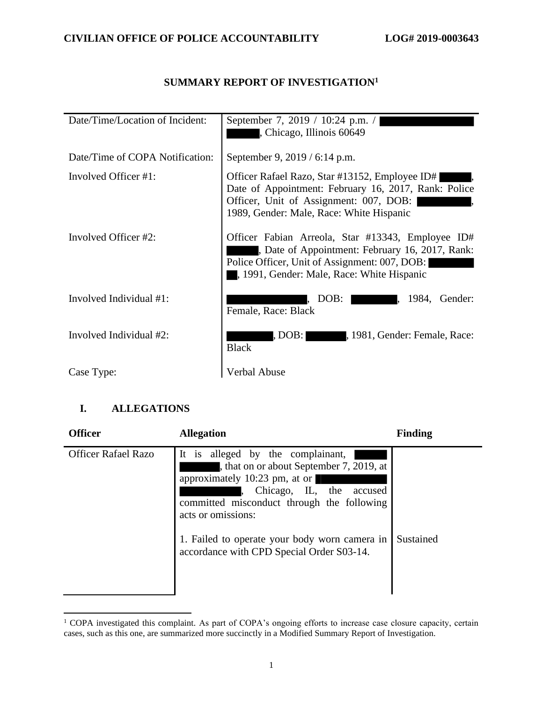## **SUMMARY REPORT OF INVESTIGATION<sup>1</sup>**

| Date/Time/Location of Incident: | September 7, 2019 / 10:24 p.m. /<br>, Chicago, Illinois 60649                                                                                                                                     |
|---------------------------------|---------------------------------------------------------------------------------------------------------------------------------------------------------------------------------------------------|
| Date/Time of COPA Notification: | September 9, 2019 / 6:14 p.m.                                                                                                                                                                     |
| Involved Officer #1:            | Officer Rafael Razo, Star #13152, Employee ID#<br>Date of Appointment: February 16, 2017, Rank: Police<br>Officer, Unit of Assignment: 007, DOB:<br>1989, Gender: Male, Race: White Hispanic      |
| Involved Officer #2:            | Officer Fabian Arreola, Star #13343, Employee ID#<br>Date of Appointment: February 16, 2017, Rank:<br>Police Officer, Unit of Assignment: 007, DOB:<br>, 1991, Gender: Male, Race: White Hispanic |
| Involved Individual #1:         | DOB:<br>1984,<br>Gender:<br>Female, Race: Black                                                                                                                                                   |
| Involved Individual #2:         | , 1981, Gender: Female, Race:<br>, DOB:  <br><b>Black</b>                                                                                                                                         |
| Case Type:                      | Verbal Abuse                                                                                                                                                                                      |

## **I. ALLEGATIONS**

| <b>Officer</b>             | <b>Allegation</b>                                                                                                                                                                                                                                                                                               | <b>Finding</b> |
|----------------------------|-----------------------------------------------------------------------------------------------------------------------------------------------------------------------------------------------------------------------------------------------------------------------------------------------------------------|----------------|
| <b>Officer Rafael Razo</b> | alleged by the complainant,<br>It is<br>, that on or about September 7, 2019, at<br>approximately 10:23 pm, at or<br>Chicago, IL, the accused<br>committed misconduct through the following<br>acts or omissions:<br>1. Failed to operate your body worn camera in<br>accordance with CPD Special Order S03-14. | Sustained      |

<sup>&</sup>lt;sup>1</sup> COPA investigated this complaint. As part of COPA's ongoing efforts to increase case closure capacity, certain cases, such as this one, are summarized more succinctly in a Modified Summary Report of Investigation.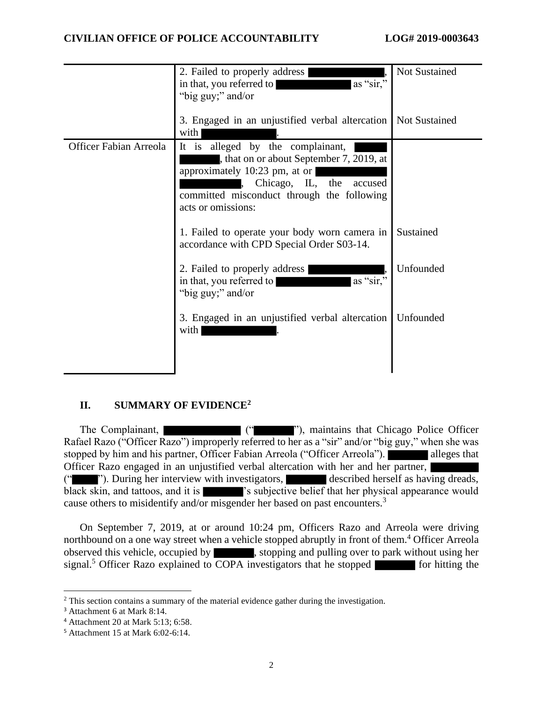|                               | 2. Failed to properly address<br>as "sir,"<br>in that, you referred to<br>"big guy;" and/or                                                                                                                          | <b>Not Sustained</b> |
|-------------------------------|----------------------------------------------------------------------------------------------------------------------------------------------------------------------------------------------------------------------|----------------------|
|                               | 3. Engaged in an unjustified verbal altercation<br>with                                                                                                                                                              | <b>Not Sustained</b> |
| <b>Officer Fabian Arreola</b> | It is<br>alleged by the complainant,<br>, that on or about September 7, 2019, at<br>approximately 10:23 pm, at or<br>Chicago, IL, the<br>accused<br>committed misconduct through the following<br>acts or omissions: |                      |
|                               | 1. Failed to operate your body worn camera in<br>accordance with CPD Special Order S03-14.                                                                                                                           | Sustained            |
|                               | 2. Failed to properly address<br>as "sir,"<br>in that, you referred to<br>"big guy;" and/or                                                                                                                          | Unfounded            |
|                               | 3. Engaged in an unjustified verbal altercation<br>with                                                                                                                                                              | Unfounded            |

## **II. SUMMARY OF EVIDENCE<sup>2</sup>**

The Complainant,  $($ " "), maintains that Chicago Police Officer Rafael Razo ("Officer Razo") improperly referred to her as a "sir" and/or "big guy," when she was stopped by him and his partner, Officer Fabian Arreola ("Officer Arreola"). alleges that Officer Razo engaged in an unjustified verbal altercation with her and her partner, ("""). During her interview with investigators, described herself as having dreads, black skin, and tattoos, and it is  $\blacksquare$  's subjective belief that her physical appearance would cause others to misidentify and/or misgender her based on past encounters.<sup>3</sup>

On September 7, 2019, at or around 10:24 pm, Officers Razo and Arreola were driving northbound on a one way street when a vehicle stopped abruptly in front of them.<sup>4</sup> Officer Arreola observed this vehicle, occupied by , stopping and pulling over to park without using her signal.<sup>5</sup> Officer Razo explained to  $\overline{COPA}$  investigators that he stopped  $\overline{\phantom{a}}$  for hitting the

<sup>&</sup>lt;sup>2</sup> This section contains a summary of the material evidence gather during the investigation.

<sup>3</sup> Attachment 6 at Mark 8:14.

<sup>4</sup> Attachment 20 at Mark 5:13; 6:58.

<sup>5</sup> Attachment 15 at Mark 6:02-6:14.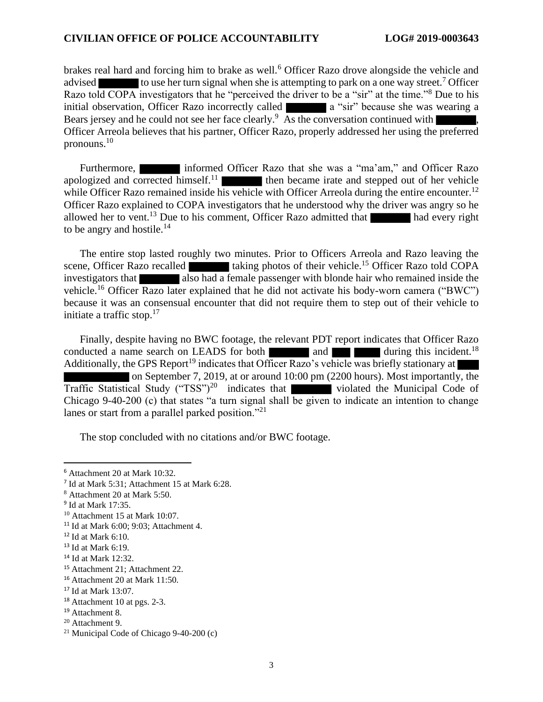#### **CIVILIAN OFFICE OF POLICE ACCOUNTABILITY LOG# 2019-0003643**

brakes real hard and forcing him to brake as well.<sup>6</sup> Officer Razo drove alongside the vehicle and advised to use her turn signal when she is attempting to park on a one way street.<sup>7</sup> Officer Razo told COPA investigators that he "perceived the driver to be a "sir" at the time."<sup>8</sup> Due to his initial observation, Officer Razo incorrectly called **a** a "sir" because she was wearing a Bears jersey and he could not see her face clearly.<sup>9</sup> As the conversation continued with  $\blacksquare$ , Officer Arreola believes that his partner, Officer Razo, properly addressed her using the preferred pronouns.<sup>10</sup>

Furthermore, informed Officer Razo that she was a "ma'am," and Officer Razo apologized and corrected himself.<sup>11</sup> then became irate and stepped out of her vehicle while Officer Razo remained inside his vehicle with Officer Arreola during the entire encounter.<sup>12</sup> Officer Razo explained to COPA investigators that he understood why the driver was angry so he allowed her to vent.<sup>13</sup> Due to his comment, Officer Razo admitted that had every right to be angry and hostile. $14$ 

The entire stop lasted roughly two minutes. Prior to Officers Arreola and Razo leaving the scene, Officer Razo recalled taking photos of their vehicle.<sup>15</sup> Officer Razo told COPA investigators that also had a female passenger with blonde hair who remained inside the vehicle.<sup>16</sup> Officer Razo later explained that he did not activate his body-worn camera ("BWC") because it was an consensual encounter that did not require them to step out of their vehicle to initiate a traffic stop. $17$ 

Finally, despite having no BWC footage, the relevant PDT report indicates that Officer Razo conducted a name search on LEADS for both and  $\blacksquare$  and  $\blacksquare$  during this incident.<sup>18</sup> Additionally, the GPS Report<sup>19</sup> indicates that Officer Razo's vehicle was briefly stationary at on September 7, 2019, at or around 10:00 pm (2200 hours). Most importantly, the Traffic Statistical Study ("TSS")<sup>20</sup> indicates that violated the Municipal Code of Chicago 9-40-200 (c) that states "a turn signal shall be given to indicate an intention to change lanes or start from a parallel parked position."<sup>21</sup>

The stop concluded with no citations and/or BWC footage.

<sup>6</sup> Attachment 20 at Mark 10:32.

<sup>7</sup> Id at Mark 5:31; Attachment 15 at Mark 6:28.

<sup>8</sup> Attachment 20 at Mark 5:50.

<sup>&</sup>lt;sup>9</sup> Id at Mark 17:35.

<sup>10</sup> Attachment 15 at Mark 10:07.

<sup>11</sup> Id at Mark 6:00; 9:03; Attachment 4.

<sup>12</sup> Id at Mark 6:10.

 $13$  Id at Mark 6:19.

<sup>14</sup> Id at Mark 12:32.

<sup>15</sup> Attachment 21; Attachment 22.

<sup>16</sup> Attachment 20 at Mark 11:50.

<sup>17</sup> Id at Mark 13:07.

<sup>&</sup>lt;sup>18</sup> Attachment 10 at pgs. 2-3.

<sup>19</sup> Attachment 8.

<sup>20</sup> Attachment 9.

<sup>&</sup>lt;sup>21</sup> Municipal Code of Chicago  $9-40-200$  (c)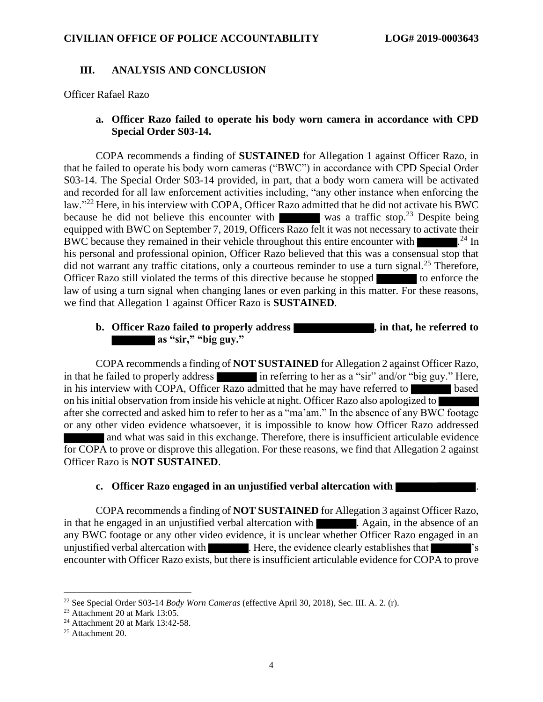#### **III. ANALYSIS AND CONCLUSION**

Officer Rafael Razo

#### **a. Officer Razo failed to operate his body worn camera in accordance with CPD Special Order S03-14.**

COPA recommends a finding of **SUSTAINED** for Allegation 1 against Officer Razo, in that he failed to operate his body worn cameras ("BWC") in accordance with CPD Special Order S03-14. The Special Order S03-14 provided, in part, that a body worn camera will be activated and recorded for all law enforcement activities including, "any other instance when enforcing the law."<sup>22</sup> Here, in his interview with COPA, Officer Razo admitted that he did not activate his BWC because he did not believe this encounter with was a traffic stop.<sup>23</sup> Despite being equipped with BWC on September 7, 2019, Officers Razo felt it was not necessary to activate their BWC because they remained in their vehicle throughout this entire encounter with  $\sim$   $24 \text{ In}$ his personal and professional opinion, Officer Razo believed that this was a consensual stop that did not warrant any traffic citations, only a courteous reminder to use a turn signal.<sup>25</sup> Therefore, Officer Razo still violated the terms of this directive because he stopped to enforce the law of using a turn signal when changing lanes or even parking in this matter. For these reasons, we find that Allegation 1 against Officer Razo is **SUSTAINED**.

## **b.** Officer Razo failed to properly address **that, in that, he referred to as "sir," "big guy."**

COPA recommends a finding of **NOT SUSTAINED** for Allegation 2 against Officer Razo, in that he failed to properly address in referring to her as a "sir" and/or "big guy." Here, in his interview with COPA, Officer Razo admitted that he may have referred to based on his initial observation from inside his vehicle at night. Officer Razo also apologized to after she corrected and asked him to refer to her as a "ma'am." In the absence of any BWC footage or any other video evidence whatsoever, it is impossible to know how Officer Razo addressed and what was said in this exchange. Therefore, there is insufficient articulable evidence for COPA to prove or disprove this allegation. For these reasons, we find that Allegation 2 against Officer Razo is **NOT SUSTAINED**.

#### **c. Officer Razo engaged in an unjustified verbal altercation with** .

COPA recommends a finding of **NOT SUSTAINED** for Allegation 3 against Officer Razo, in that he engaged in an unjustified verbal altercation with . Again, in the absence of an any BWC footage or any other video evidence, it is unclear whether Officer Razo engaged in an unjustified verbal altercation with **the contract of the evidence clearly establishes that**  $\blacksquare$ 's encounter with Officer Razo exists, but there is insufficient articulable evidence for COPA to prove

<sup>22</sup> See Special Order S03-14 *Body Worn Cameras* (effective April 30, 2018), Sec. III. A. 2. (r).

<sup>23</sup> Attachment 20 at Mark 13:05.

<sup>24</sup> Attachment 20 at Mark 13:42-58.

 $25$  Attachment 20.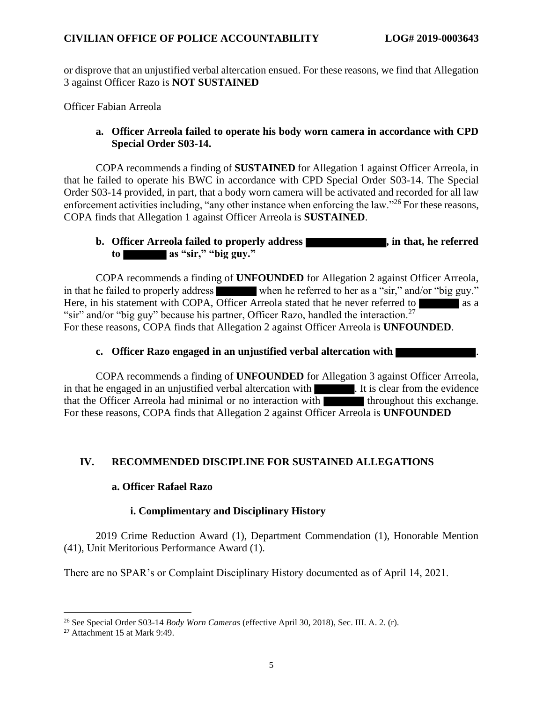or disprove that an unjustified verbal altercation ensued. For these reasons, we find that Allegation 3 against Officer Razo is **NOT SUSTAINED**

Officer Fabian Arreola

#### **a. Officer Arreola failed to operate his body worn camera in accordance with CPD Special Order S03-14.**

COPA recommends a finding of **SUSTAINED** for Allegation 1 against Officer Arreola, in that he failed to operate his BWC in accordance with CPD Special Order S03-14. The Special Order S03-14 provided, in part, that a body worn camera will be activated and recorded for all law enforcement activities including, "any other instance when enforcing the law."<sup>26</sup> For these reasons, COPA finds that Allegation 1 against Officer Arreola is **SUSTAINED**.

## **b.** Officer Arreola failed to properly address **that, in that, he referred to as "sir," "big guy."**

COPA recommends a finding of **UNFOUNDED** for Allegation 2 against Officer Arreola, in that he failed to properly address when he referred to her as a "sir," and/or "big guy." Here, in his statement with COPA, Officer Arreola stated that he never referred to as a "sir" and/or "big guy" because his partner, Officer Razo, handled the interaction.<sup>27</sup> For these reasons, COPA finds that Allegation 2 against Officer Arreola is **UNFOUNDED**.

#### **c. Officer Razo engaged in an unjustified verbal altercation with** .

COPA recommends a finding of **UNFOUNDED** for Allegation 3 against Officer Arreola, in that he engaged in an unjustified verbal altercation with . It is clear from the evidence that the Officer Arreola had minimal or no interaction with the university throughout this exchange. For these reasons, COPA finds that Allegation 2 against Officer Arreola is **UNFOUNDED**

## **IV. RECOMMENDED DISCIPLINE FOR SUSTAINED ALLEGATIONS**

## **a. Officer Rafael Razo**

## **i. Complimentary and Disciplinary History**

2019 Crime Reduction Award (1), Department Commendation (1), Honorable Mention (41), Unit Meritorious Performance Award (1).

There are no SPAR's or Complaint Disciplinary History documented as of April 14, 2021.

<sup>26</sup> See Special Order S03-14 *Body Worn Cameras* (effective April 30, 2018), Sec. III. A. 2. (r).

<sup>27</sup> Attachment 15 at Mark 9:49.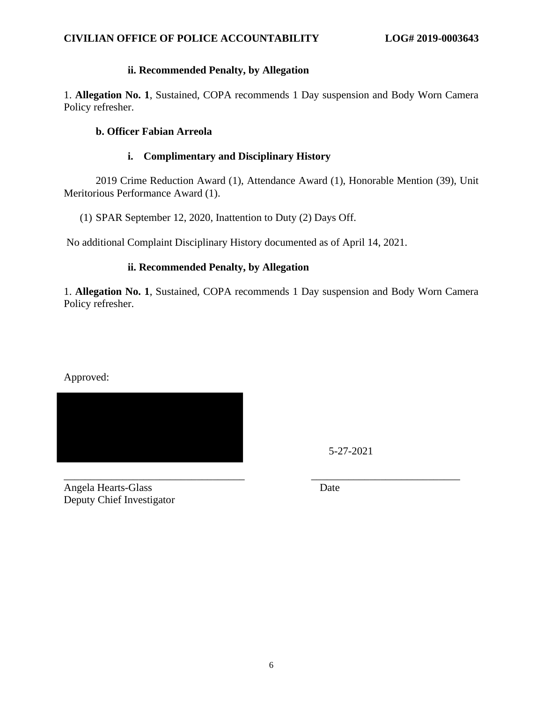## **ii. Recommended Penalty, by Allegation**

1. **Allegation No. 1**, Sustained, COPA recommends 1 Day suspension and Body Worn Camera Policy refresher.

#### **b. Officer Fabian Arreola**

#### **i. Complimentary and Disciplinary History**

2019 Crime Reduction Award (1), Attendance Award (1), Honorable Mention (39), Unit Meritorious Performance Award (1).

(1) SPAR September 12, 2020, Inattention to Duty (2) Days Off.

No additional Complaint Disciplinary History documented as of April 14, 2021.

## **ii. Recommended Penalty, by Allegation**

1. **Allegation No. 1**, Sustained, COPA recommends 1 Day suspension and Body Worn Camera Policy refresher.

Approved:



5-27-2021

\_\_\_\_\_\_\_\_\_\_\_\_\_\_\_\_\_\_\_\_\_\_\_\_\_\_\_\_\_\_\_\_\_\_ \_\_\_\_\_\_\_\_\_\_\_\_\_\_\_\_\_\_\_\_\_\_\_\_\_\_\_\_ Angela Hearts-Glass Date Deputy Chief Investigator